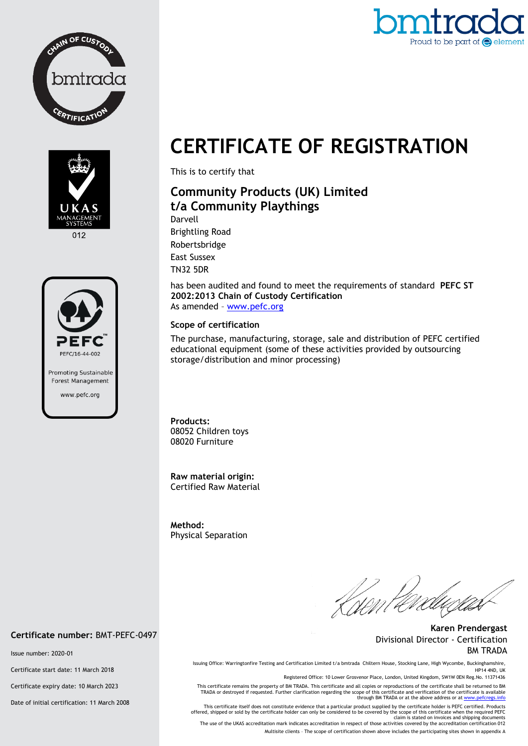



012



# Proud to be part of  $\bigodot$  elemer

## **CERTIFICATE OF REGISTRATION**

This is to certify that

### **Community Products (UK) Limited t/a Community Playthings**

Darvell Brightling Road Robertsbridge East Sussex TN32 5DR

has been audited and found to meet the requirements of standard **PEFC ST 2002:2013 Chain of Custody Certification** As amended – [www.pefc.org](http://www.pefc.org/)

#### **Scope of certification**

The purchase, manufacturing, storage, sale and distribution of PEFC certified educational equipment (some of these activities provided by outsourcing storage/distribution and minor processing)

**Products:**  08052 Children toys 08020 Furniture

**Raw material origin:** Certified Raw Material

**Method:**  Physical Separation

Kisent eve

**Karen Prendergast** Divisional Director - Certification BM TRADA

Issuing Office: Warringtonfire Testing and Certification Limited t/a bmtrada Chiltern House, Stocking Lane, High Wycombe, Buckinghamshire, HP14 4ND, UK

Registered Office: 10 Lower Grosvenor Place, London, United Kingdom, SW1W 0EN Reg.No. 11371436

This certificate remains the property of BM TRADA. This certificate and all copies or reproductions of the certificate shall be returned to BM TRADA or destroyed if requested. Further clarification regarding the scope of this certificate and verification of the certificate is available<br>through BM TRADA or at the above address or a[t www.pefcregs.info](http://www.pefcregs.info/)

This certificate itself does not constitute evidence that a particular product supplied by the certificate holder is PEFC certified. Products offered, shipped or sold by the certificate holder can only be considered to be covered by the scope of this certificate when the required PEFC<br>claim is stated on invoices and shipping documents<br>The use of the UKAS accredi

Multisite clients – The scope of certification shown above includes the participating sites shown in appendix A

#### **Certificate number:** BMT-PEFC-0497

Issue number: 2020-01

Certificate start date: 11 March 2018

Certificate expiry date: 10 March 2023

Date of initial certification: 11 March 2008